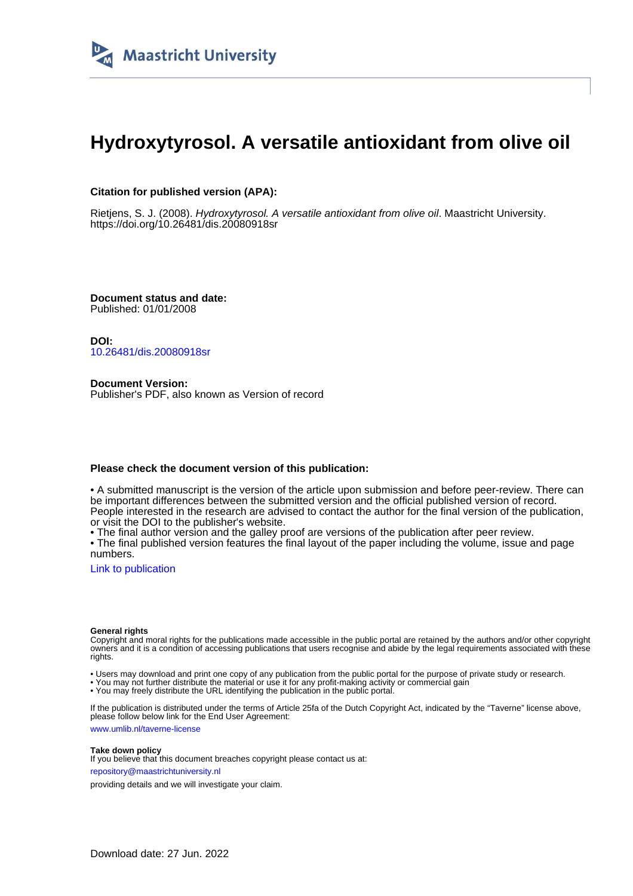

# **Hydroxytyrosol. A versatile antioxidant from olive oil**

### **Citation for published version (APA):**

Rietjens, S. J. (2008). Hydroxytyrosol. A versatile antioxidant from olive oil. Maastricht University. <https://doi.org/10.26481/dis.20080918sr>

**Document status and date:** Published: 01/01/2008

**DOI:** [10.26481/dis.20080918sr](https://doi.org/10.26481/dis.20080918sr)

**Document Version:** Publisher's PDF, also known as Version of record

#### **Please check the document version of this publication:**

• A submitted manuscript is the version of the article upon submission and before peer-review. There can be important differences between the submitted version and the official published version of record. People interested in the research are advised to contact the author for the final version of the publication, or visit the DOI to the publisher's website.

• The final author version and the galley proof are versions of the publication after peer review.

• The final published version features the final layout of the paper including the volume, issue and page numbers.

[Link to publication](https://cris.maastrichtuniversity.nl/en/publications/66d27f45-d312-430c-bd12-190484d6f532)

#### **General rights**

Copyright and moral rights for the publications made accessible in the public portal are retained by the authors and/or other copyright owners and it is a condition of accessing publications that users recognise and abide by the legal requirements associated with these rights.

• Users may download and print one copy of any publication from the public portal for the purpose of private study or research.

• You may not further distribute the material or use it for any profit-making activity or commercial gain

• You may freely distribute the URL identifying the publication in the public portal.

If the publication is distributed under the terms of Article 25fa of the Dutch Copyright Act, indicated by the "Taverne" license above, please follow below link for the End User Agreement:

www.umlib.nl/taverne-license

#### **Take down policy**

If you believe that this document breaches copyright please contact us at: repository@maastrichtuniversity.nl

providing details and we will investigate your claim.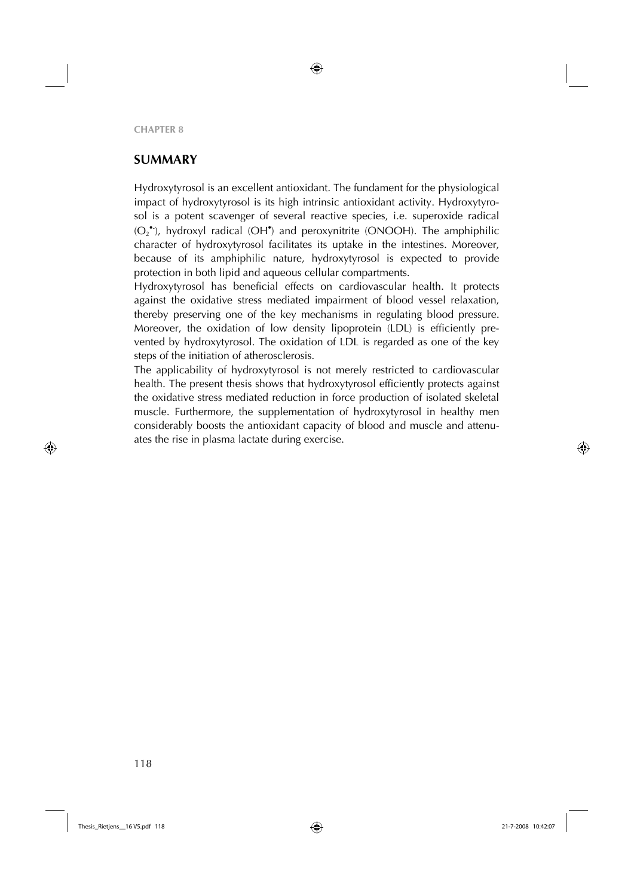# **SUMMARY**

Hydroxytyrosol is an excellent antioxidant. The fundament for the physiological impact of hydroxytyrosol is its high intrinsic antioxidant activity. Hydroxytyrosol is a potent scavenger of several reactive species, i.e. superoxide radical (O<sub>2</sub><sup>•</sup>), hydroxyl radical (OH<sup>•</sup>) and peroxynitrite (ONOOH). The amphiphilic character of hydroxytyrosol facilitates its uptake in the intestines. Moreover, because of its amphiphilic nature, hydroxytyrosol is expected to provide protection in both lipid and aqueous cellular compartments.

Hydroxytyrosol has beneficial effects on cardiovascular health. It protects against the oxidative stress mediated impairment of blood vessel relaxation, thereby preserving one of the key mechanisms in regulating blood pressure. Moreover, the oxidation of low density lipoprotein (LDL) is efficiently prevented by hydroxytyrosol. The oxidation of LDL is regarded as one of the key steps of the initiation of atherosclerosis.

The applicability of hydroxytyrosol is not merely restricted to cardiovascular health. The present thesis shows that hydroxytyrosol efficiently protects against the oxidative stress mediated reduction in force production of isolated skeletal muscle. Furthermore, the supplementation of hydroxytyrosol in healthy men considerably boosts the antioxidant capacity of blood and muscle and attenuates the rise in plasma lactate during exercise.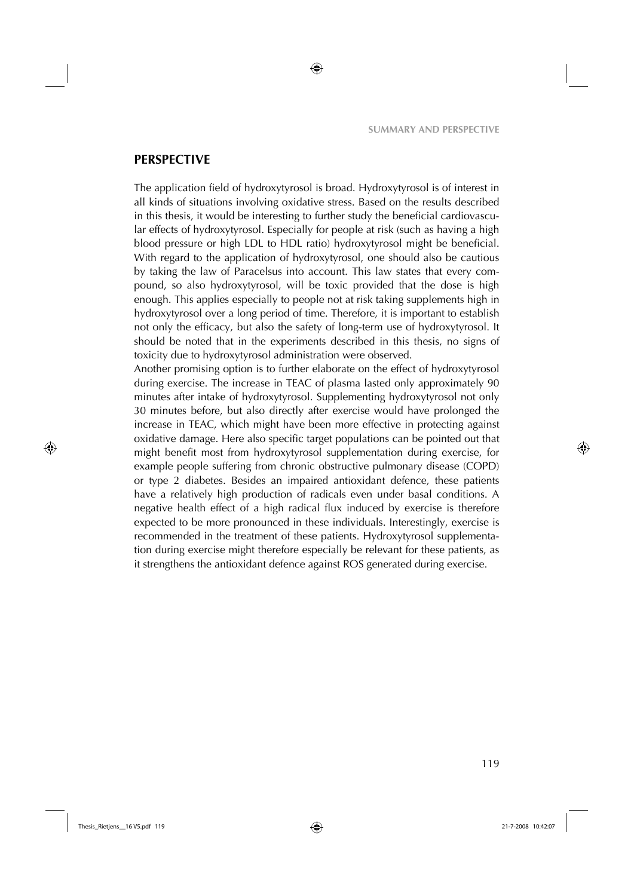## **PERSPECTIVE**

The application field of hydroxytyrosol is broad. Hydroxytyrosol is of interest in all kinds of situations involving oxidative stress. Based on the results described in this thesis, it would be interesting to further study the beneficial cardiovascular effects of hydroxytyrosol. Especially for people at risk (such as having a high blood pressure or high LDL to HDL ratio) hydroxytyrosol might be beneficial. With regard to the application of hydroxytyrosol, one should also be cautious by taking the law of Paracelsus into account. This law states that every compound, so also hydroxytyrosol, will be toxic provided that the dose is high enough. This applies especially to people not at risk taking supplements high in hydroxytyrosol over a long period of time. Therefore, it is important to establish not only the efficacy, but also the safety of long-term use of hydroxytyrosol. It should be noted that in the experiments described in this thesis, no signs of toxicity due to hydroxytyrosol administration were observed.

Another promising option is to further elaborate on the effect of hydroxytyrosol during exercise. The increase in TEAC of plasma lasted only approximately 90 minutes after intake of hydroxytyrosol. Supplementing hydroxytyrosol not only 30 minutes before, but also directly after exercise would have prolonged the increase in TEAC, which might have been more effective in protecting against oxidative damage. Here also specific target populations can be pointed out that might benefit most from hydroxytyrosol supplementation during exercise, for example people suffering from chronic obstructive pulmonary disease (COPD) or type 2 diabetes. Besides an impaired antioxidant defence, these patients have a relatively high production of radicals even under basal conditions. A negative health effect of a high radical flux induced by exercise is therefore expected to be more pronounced in these individuals. Interestingly, exercise is recommended in the treatment of these patients. Hydroxytyrosol supplementation during exercise might therefore especially be relevant for these patients, as it strengthens the antioxidant defence against ROS generated during exercise.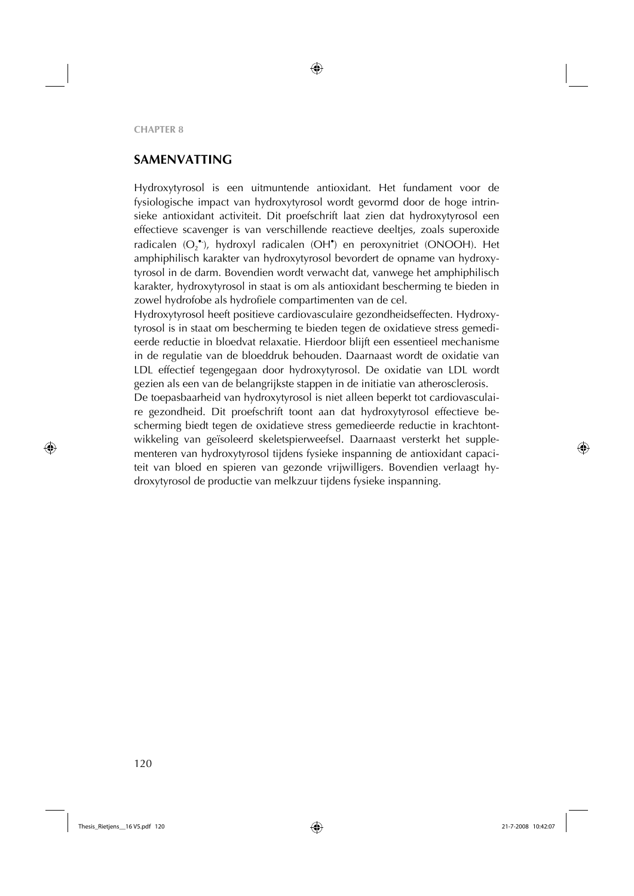# **SAMENVATTING**

Hydroxytyrosol is een uitmuntende antioxidant. Het fundament voor de fysiologische impact van hydroxytyrosol wordt gevormd door de hoge intrinsieke antioxidant activiteit. Dit proefschrift laat zien dat hydroxytyrosol een effectieve scavenger is van verschillende reactieve deeltjes, zoals superoxide radicalen (O<sub>2</sub><sup>•</sup>), hydroxyl radicalen (OH<sup>•</sup>) en peroxynitriet (ONOOH). Het amphiphilisch karakter van hydroxytyrosol bevordert de opname van hydroxytyrosol in de darm. Bovendien wordt verwacht dat, vanwege het amphiphilisch karakter, hydroxytyrosol in staat is om als antioxidant bescherming te bieden in zowel hydrofobe als hydrofiele compartimenten van de cel.

Hydroxytyrosol heeft positieve cardiovasculaire gezondheidseffecten. Hydroxytyrosol is in staat om bescherming te bieden tegen de oxidatieve stress gemedieerde reductie in bloedvat relaxatie. Hierdoor blijft een essentieel mechanisme in de regulatie van de bloeddruk behouden. Daarnaast wordt de oxidatie van LDL effectief tegengegaan door hydroxytyrosol. De oxidatie van LDL wordt gezien als een van de belangrijkste stappen in de initiatie van atherosclerosis.

De toepasbaarheid van hydroxytyrosol is niet alleen beperkt tot cardiovasculaire gezondheid. Dit proefschrift toont aan dat hydroxytyrosol effectieve bescherming biedt tegen de oxidatieve stress gemedieerde reductie in krachtontwikkeling van geïsoleerd skeletspierweefsel. Daarnaast versterkt het supplementeren van hydroxytyrosol tijdens fysieke inspanning de antioxidant capaciteit van bloed en spieren van gezonde vrijwilligers. Bovendien verlaagt hydroxytyrosol de productie van melkzuur tijdens fysieke inspanning.